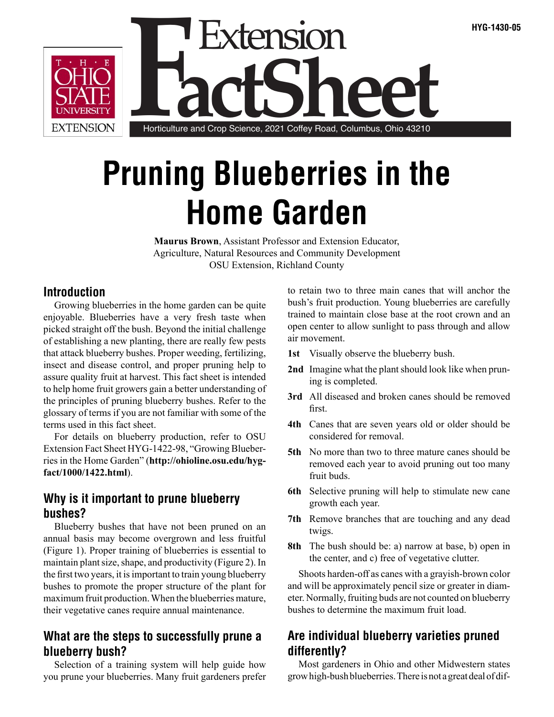

# **Pruning Blueberries in the Home Garden**

**Maurus Brown**, Assistant Professor and Extension Educator, Agriculture, Natural Resources and Community Development OSU Extension, Richland County

#### **Introduction**

Growing blueberries in the home garden can be quite enjoyable. Blueberries have a very fresh taste when picked straight off the bush. Beyond the initial challenge of establishing a new planting, there are really few pests that attack blueberry bushes. Proper weeding, fertilizing, insect and disease control, and proper pruning help to assure quality fruit at harvest. This fact sheet is intended to help home fruit growers gain a better understanding of the principles of pruning blueberry bushes. Refer to the glossary of terms if you are not familiar with some of the terms used in this fact sheet.

For details on blueberry production, refer to OSU Extension Fact Sheet HYG-1422-98, "Growing Blueberries in the Home Garden" (**http://ohioline.osu.edu/hygfact/1000/1422.html**).

#### **Why is it important to prune blueberry bushes?**

Blueberry bushes that have not been pruned on an annual basis may become overgrown and less fruitful (Figure 1). Proper training of blueberries is essential to maintain plant size, shape, and productivity (Figure 2). In the first two years, it is important to train young blueberry bushes to promote the proper structure of the plant for maximum fruit production. When the blueberries mature, their vegetative canes require annual maintenance.

## **What are the steps to successfully prune a blueberry bush?**

Selection of a training system will help guide how you prune your blueberries. Many fruit gardeners prefer to retain two to three main canes that will anchor the bush's fruit production. Young blueberries are carefully trained to maintain close base at the root crown and an open center to allow sunlight to pass through and allow air movement.

- **1st** Visually observe the blueberry bush.
- **2nd** Imagine what the plant should look like when pruning is completed.
- **3rd** All diseased and broken canes should be removed first.
- **4th** Canes that are seven years old or older should be considered for removal.
- **5th** No more than two to three mature canes should be removed each year to avoid pruning out too many fruit buds.
- **6th** Selective pruning will help to stimulate new cane growth each year.
- **7th** Remove branches that are touching and any dead twigs.
- **8th** The bush should be: a) narrow at base, b) open in the center, and c) free of vegetative clutter.

Shoots harden-off as canes with a grayish-brown color and will be approximately pencil size or greater in diameter. Normally, fruiting buds are not counted on blueberry bushes to determine the maximum fruit load.

## **Are individual blueberry varieties pruned differently?**

Most gardeners in Ohio and other Midwestern states grow high-bush blueberries. There is not a great deal of dif-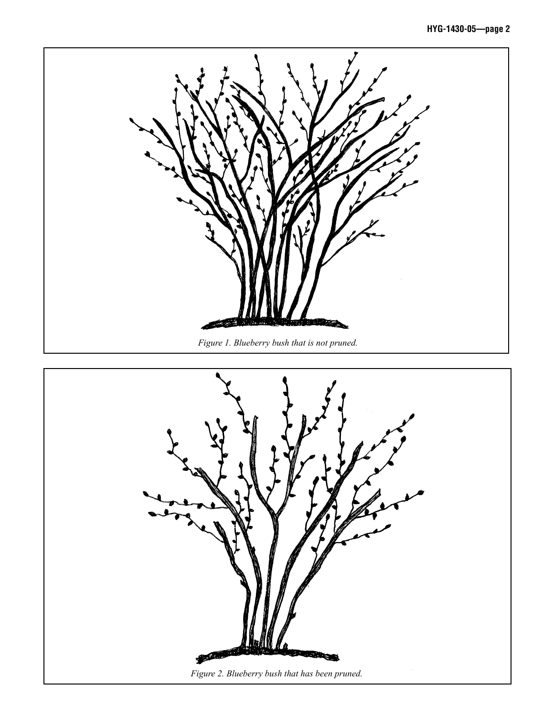